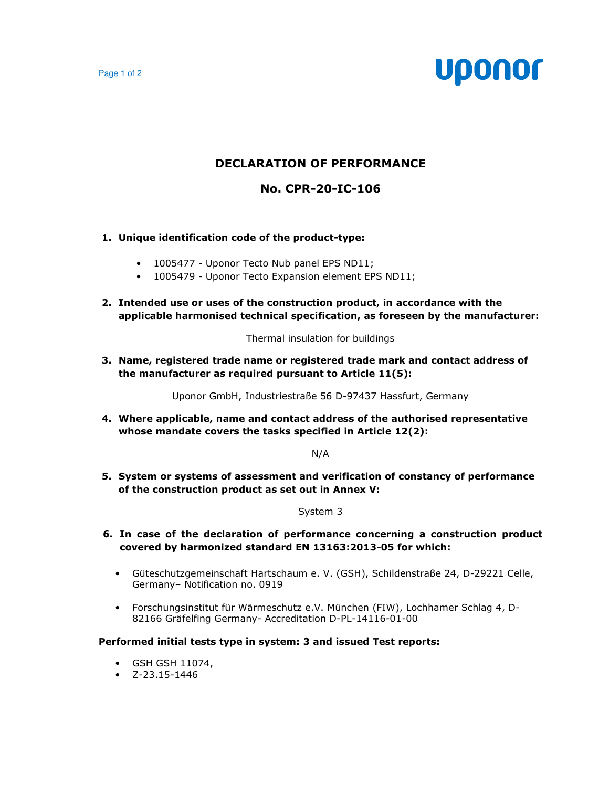Page 1 of 2

# **Uponor**

# **DECLARATION OF PERFORMANCE**

## **No. CPR-20-IC-106**

## **1. Unique identification code of the product-type:**

- 1005477 Uponor Tecto Nub panel EPS ND11;
- 1005479 Uponor Tecto Expansion element EPS ND11;
- **2. Intended use or uses of the construction product, in accordance with the applicable harmonised technical specification, as foreseen by the manufacturer:**

Thermal insulation for buildings

**3. Name, registered trade name or registered trade mark and contact address of the manufacturer as required pursuant to Article 11(5):** 

Uponor GmbH, Industriestraße 56 D-97437 Hassfurt, Germany

**4. Where applicable, name and contact address of the authorised representative whose mandate covers the tasks specified in Article 12(2):** 

N/A

**5. System or systems of assessment and verification of constancy of performance of the construction product as set out in Annex V:** 

#### System 3

- **6. In case of the declaration of performance concerning a construction product covered by harmonized standard EN 13163:2013-05 for which:** 
	- Güteschutzgemeinschaft Hartschaum e. V. (GSH), Schildenstraße 24, D-29221 Celle, Germany– Notification no. 0919
	- Forschungsinstitut für Wärmeschutz e.V. München (FIW), Lochhamer Schlag 4, D-82166 Gräfelfing Germany- Accreditation D-PL-14116-01-00

#### **Performed initial tests type in system: 3 and issued Test reports:**

- GSH GSH 11074,
- $\bullet$  7-23.15-1446